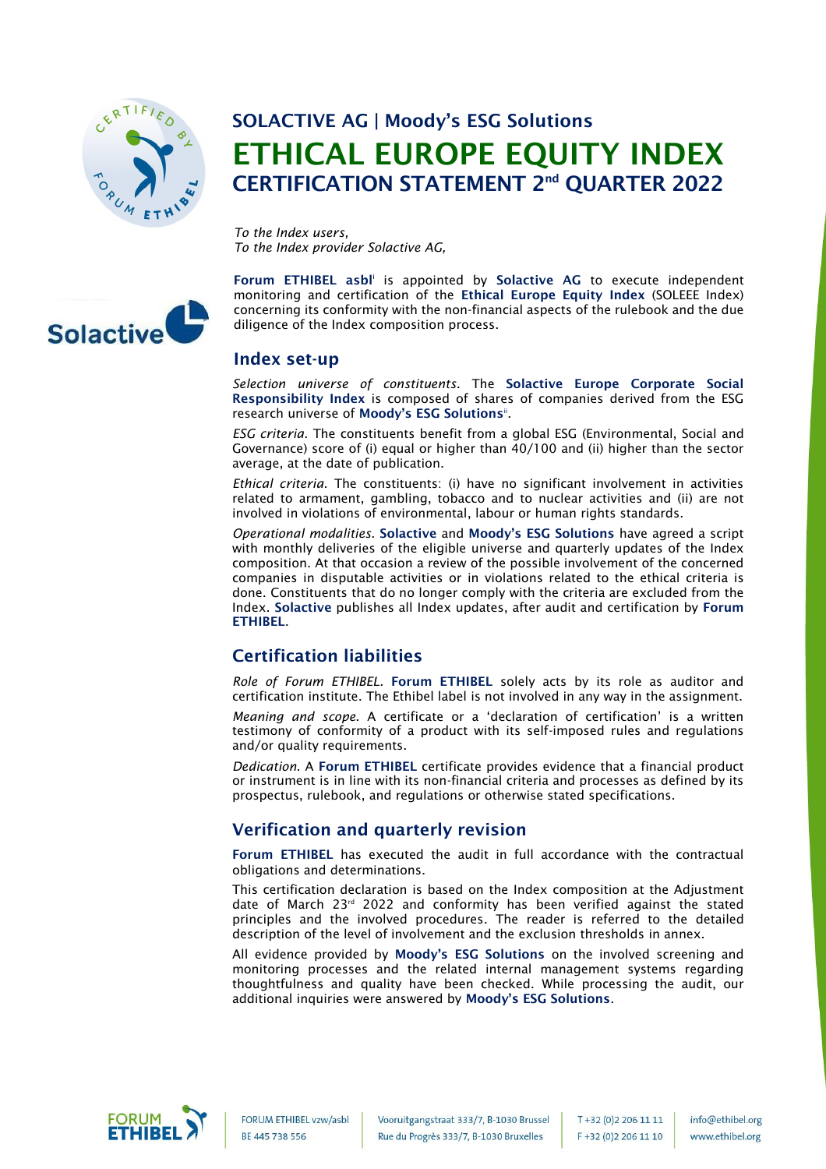

# SOLACTIVE AG | Moody's ESG Solutions ETHICAL EUROPE EQUITY INDEX CERTIFICATION STATEMENT 2<sup>nd</sup> QUARTER 2022

*To the Index users, To the Index provider Solactive AG,*



Forum ETHIBEL asbl<sup>i</sup> is appointed by Solactive AG to execute independent monitoring and certification of the Ethical Europe Equity Index (SOLEEE Index) concerning its conformity with the non-financial aspects of the rulebook and the due diligence of the Index composition process.

#### Index set-up

*Selection universe of constituents*. The Solactive Europe Corporate Social Responsibility Index is composed of shares of companies derived from the ESG research universe of Moody's ESG Solutions".

*ESG criteria*. The constituents benefit from a global ESG (Environmental, Social and Governance) score of (i) equal or higher than 40/100 and (ii) higher than the sector average, at the date of publication.

*Ethical criteria*. The constituents: (i) have no significant involvement in activities related to armament, gambling, tobacco and to nuclear activities and (ii) are not involved in violations of environmental, labour or human rights standards.

*Operational modalities*. Solactive and Moody's ESG Solutions have agreed a script with monthly deliveries of the eligible universe and quarterly updates of the Index composition. At that occasion a review of the possible involvement of the concerned companies in disputable activities or in violations related to the ethical criteria is done. Constituents that do no longer comply with the criteria are excluded from the Index. Solactive publishes all Index updates, after audit and certification by Forum **ETHIREL.** 

## Certification liabilities

*Role of Forum ETHIBEL*. Forum ETHIBEL solely acts by its role as auditor and certification institute. The Ethibel label is not involved in any way in the assignment.

*Meaning and scope*. A certificate or a 'declaration of certification' is a written testimony of conformity of a product with its self-imposed rules and regulations and/or quality requirements.

*Dedication*. A Forum ETHIBEL certificate provides evidence that a financial product or instrument is in line with its non-financial criteria and processes as defined by its prospectus, rulebook, and regulations or otherwise stated specifications.

## Verification and quarterly revision

Forum ETHIBEL has executed the audit in full accordance with the contractual obligations and determinations.

This certification declaration is based on the Index composition at the Adjustment date of March 23<sup>rd</sup> 2022 and conformity has been verified against the stated principles and the involved procedures. The reader is referred to the detailed description of the level of involvement and the exclusion thresholds in annex.

All evidence provided by Moody's ESG Solutions on the involved screening and monitoring processes and the related internal management systems regarding thoughtfulness and quality have been checked. While processing the audit, our additional inquiries were answered by Moody's ESG Solutions.



FORUM ETHIBEL vzw/asbl BE 445 738 556

T+32 (0)2 206 11 11 F+32 (0)2 206 11 10